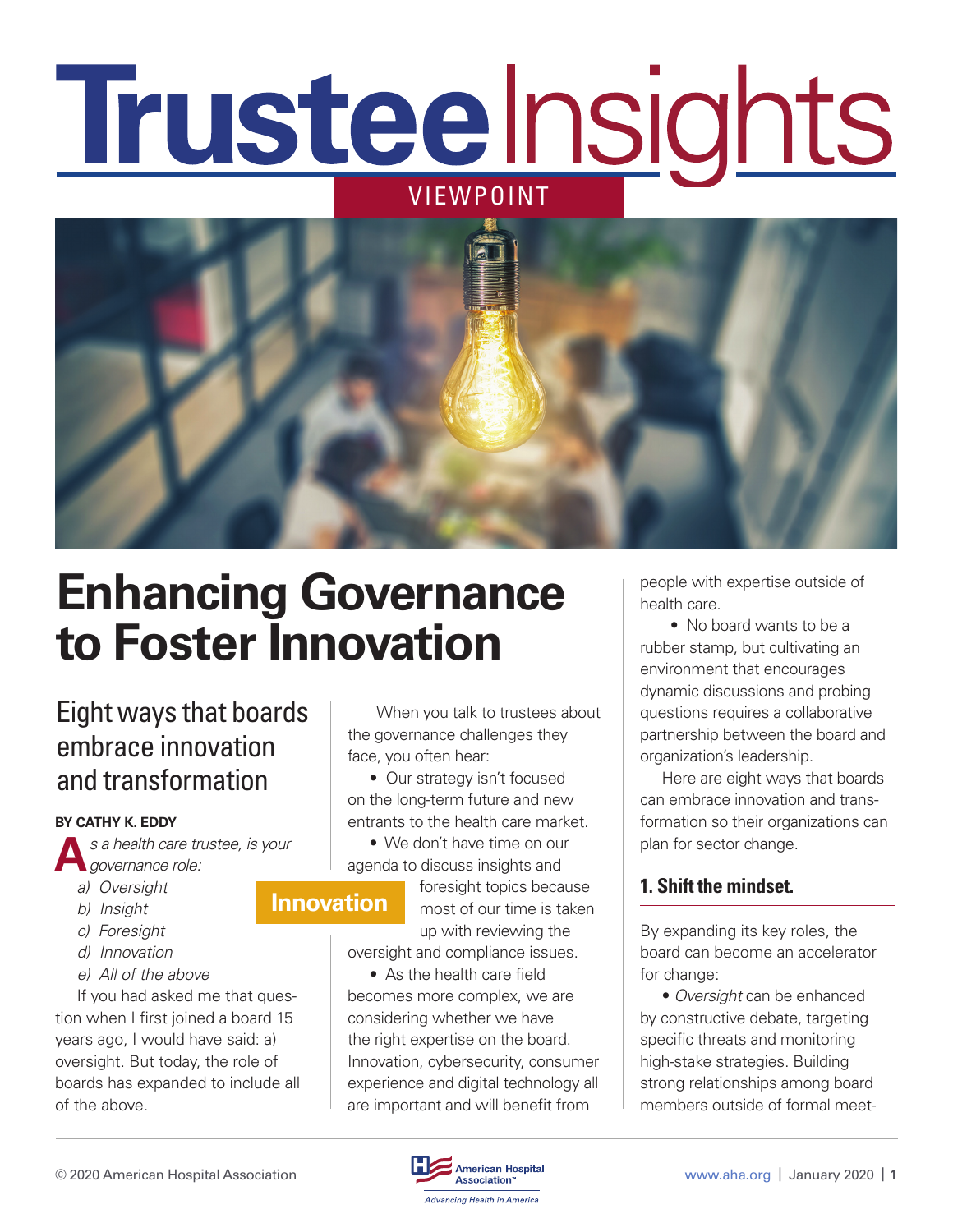# **Trusteelnsights** VIEWPOINT



## **Enhancing Governance to Foster Innovation**

### Eight ways that boards embrace innovation and transformation

#### **BY CATHY K. EDDY**

**A***s a health care trustee, is your governance role:* 

- *a) Oversight*
- *b) Insight*
- *c) Foresight*
- *d) Innovation*
- *e) All of the above*

If you had asked me that question when I first joined a board 15 years ago, I would have said: a) oversight. But today, the role of boards has expanded to include all of the above.

 When you talk to trustees about the governance challenges they face, you often hear:

• Our strategy isn't focused on the long-term future and new entrants to the health care market.

• We don't have time on our agenda to discuss insights and

#### **Innovation**

foresight topics because most of our time is taken up with reviewing the

oversight and compliance issues.

• As the health care field becomes more complex, we are considering whether we have the right expertise on the board. Innovation, cybersecurity, consumer experience and digital technology all are important and will benefit from

people with expertise outside of health care.

 • No board wants to be a rubber stamp, but cultivating an environment that encourages dynamic discussions and probing questions requires a collaborative partnership between the board and organization's leadership.

Here are eight ways that boards can embrace innovation and transformation so their organizations can plan for sector change.

#### **1. Shift the mindset.**

By expanding its key roles, the board can become an accelerator for change:

• *Oversight* can be enhanced by constructive debate, targeting specific threats and monitoring high-stake strategies. Building strong relationships among board members outside of formal meet-